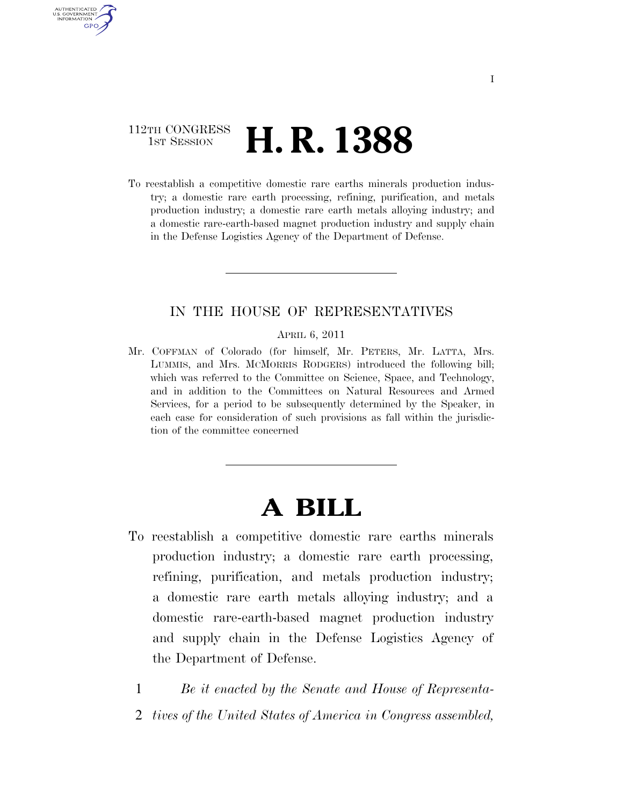### 112TH CONGRESS **1st Session H. R. 1388**

AUTHENTICATED U.S. GOVERNMENT **GPO** 

> To reestablish a competitive domestic rare earths minerals production industry; a domestic rare earth processing, refining, purification, and metals production industry; a domestic rare earth metals alloying industry; and a domestic rare-earth-based magnet production industry and supply chain in the Defense Logistics Agency of the Department of Defense.

#### IN THE HOUSE OF REPRESENTATIVES

#### APRIL 6, 2011

Mr. COFFMAN of Colorado (for himself, Mr. PETERS, Mr. LATTA, Mrs. LUMMIS, and Mrs. MCMORRIS RODGERS) introduced the following bill; which was referred to the Committee on Science, Space, and Technology, and in addition to the Committees on Natural Resources and Armed Services, for a period to be subsequently determined by the Speaker, in each case for consideration of such provisions as fall within the jurisdiction of the committee concerned

# **A BILL**

- To reestablish a competitive domestic rare earths minerals production industry; a domestic rare earth processing, refining, purification, and metals production industry; a domestic rare earth metals alloying industry; and a domestic rare-earth-based magnet production industry and supply chain in the Defense Logistics Agency of the Department of Defense.
	- 1 *Be it enacted by the Senate and House of Representa-*
	- 2 *tives of the United States of America in Congress assembled,*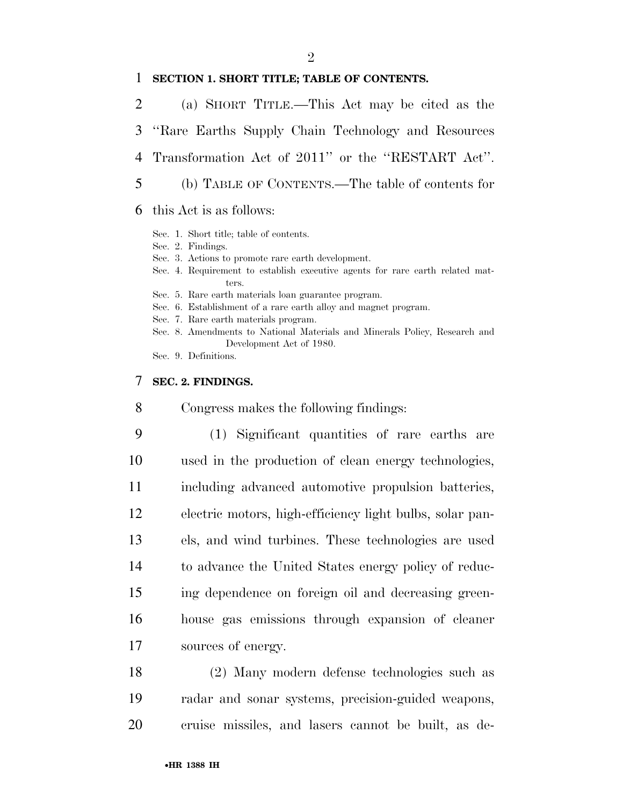#### $\mathfrak{D}$

#### **SECTION 1. SHORT TITLE; TABLE OF CONTENTS.**

- (a) SHORT TITLE.—This Act may be cited as the ''Rare Earths Supply Chain Technology and Resources Transformation Act of 2011'' or the ''RESTART Act''. (b) TABLE OF CONTENTS.—The table of contents for
- this Act is as follows:
	- Sec. 1. Short title; table of contents.
	- Sec. 2. Findings.
	- Sec. 3. Actions to promote rare earth development.
	- Sec. 4. Requirement to establish executive agents for rare earth related matters.
	- Sec. 5. Rare earth materials loan guarantee program.
	- Sec. 6. Establishment of a rare earth alloy and magnet program.
	- Sec. 7. Rare earth materials program.
	- Sec. 8. Amendments to National Materials and Minerals Policy, Research and Development Act of 1980.

Sec. 9. Definitions.

#### **SEC. 2. FINDINGS.**

Congress makes the following findings:

- (1) Significant quantities of rare earths are used in the production of clean energy technologies, including advanced automotive propulsion batteries, electric motors, high-efficiency light bulbs, solar pan- els, and wind turbines. These technologies are used to advance the United States energy policy of reduc- ing dependence on foreign oil and decreasing green- house gas emissions through expansion of cleaner sources of energy.
- (2) Many modern defense technologies such as radar and sonar systems, precision-guided weapons, cruise missiles, and lasers cannot be built, as de-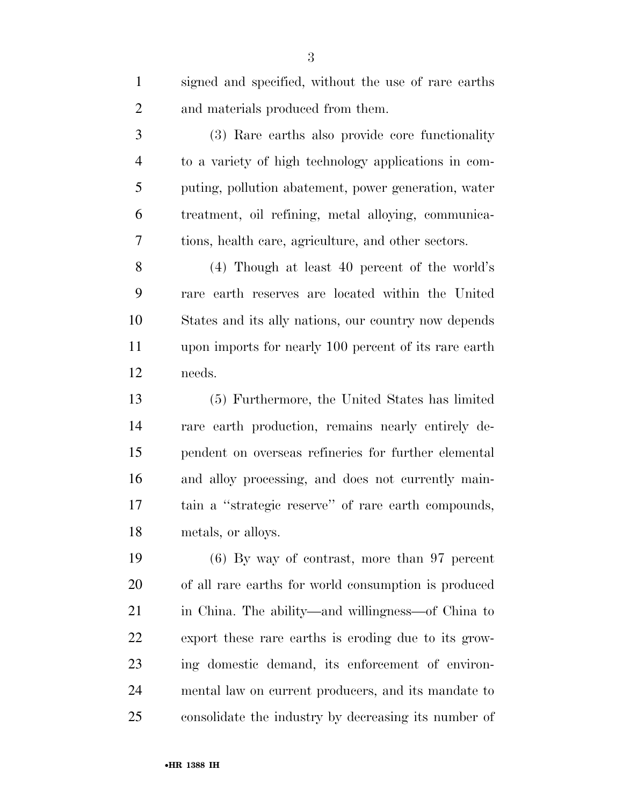| $\mathbf{1}$   | signed and specified, without the use of rare earths  |
|----------------|-------------------------------------------------------|
| $\overline{2}$ | and materials produced from them.                     |
| 3              | (3) Rare earths also provide core functionality       |
| $\overline{4}$ | to a variety of high technology applications in com-  |
| 5              | puting, pollution abatement, power generation, water  |
| 6              | treatment, oil refining, metal alloying, communica-   |
| 7              | tions, health care, agriculture, and other sectors.   |
| 8              | $(4)$ Though at least 40 percent of the world's       |
| 9              | rare earth reserves are located within the United     |
| 10             | States and its ally nations, our country now depends  |
| 11             | upon imports for nearly 100 percent of its rare earth |
| 12             | needs.                                                |
| 13             | (5) Furthermore, the United States has limited        |
| 14             | rare earth production, remains nearly entirely de-    |
| 15             | pendent on overseas refineries for further elemental  |
| 16             | and alloy processing, and does not currently main-    |
| 17             | tain a "strategic reserve" of rare earth compounds,   |
| 18             | metals, or alloys.                                    |
| 19             | $(6)$ By way of contrast, more than 97 percent        |
| 20             | of all rare earths for world consumption is produced  |
| 21             | in China. The ability—and willingness—of China to     |
| 22             | export these rare earths is eroding due to its grow-  |
| 23             | ing domestic demand, its enforcement of environ-      |
| 24             | mental law on current producers, and its mandate to   |

consolidate the industry by decreasing its number of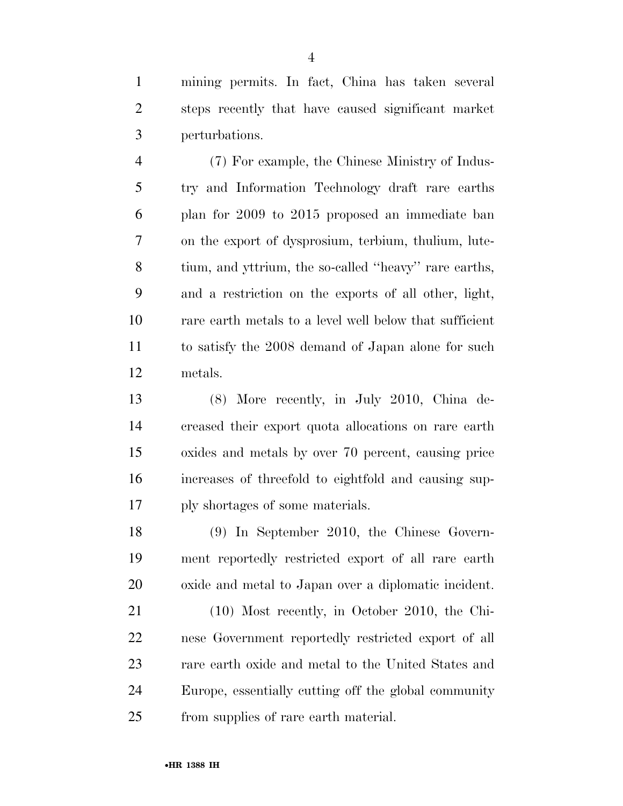mining permits. In fact, China has taken several steps recently that have caused significant market perturbations.

 (7) For example, the Chinese Ministry of Indus- try and Information Technology draft rare earths plan for 2009 to 2015 proposed an immediate ban on the export of dysprosium, terbium, thulium, lute- tium, and yttrium, the so-called ''heavy'' rare earths, and a restriction on the exports of all other, light, rare earth metals to a level well below that sufficient to satisfy the 2008 demand of Japan alone for such metals.

 (8) More recently, in July 2010, China de- creased their export quota allocations on rare earth oxides and metals by over 70 percent, causing price increases of threefold to eightfold and causing sup-ply shortages of some materials.

 (9) In September 2010, the Chinese Govern- ment reportedly restricted export of all rare earth oxide and metal to Japan over a diplomatic incident.

 (10) Most recently, in October 2010, the Chi- nese Government reportedly restricted export of all rare earth oxide and metal to the United States and Europe, essentially cutting off the global community from supplies of rare earth material.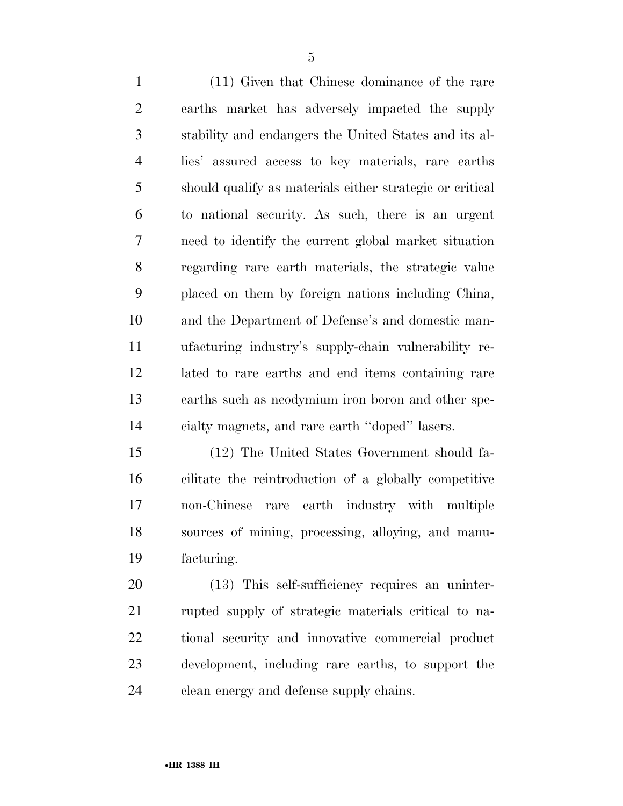(11) Given that Chinese dominance of the rare earths market has adversely impacted the supply stability and endangers the United States and its al- lies' assured access to key materials, rare earths should qualify as materials either strategic or critical to national security. As such, there is an urgent need to identify the current global market situation regarding rare earth materials, the strategic value placed on them by foreign nations including China, and the Department of Defense's and domestic man- ufacturing industry's supply-chain vulnerability re- lated to rare earths and end items containing rare earths such as neodymium iron boron and other spe-cialty magnets, and rare earth ''doped'' lasers.

 (12) The United States Government should fa- cilitate the reintroduction of a globally competitive non-Chinese rare earth industry with multiple sources of mining, processing, alloying, and manu-facturing.

 (13) This self-sufficiency requires an uninter- rupted supply of strategic materials critical to na- tional security and innovative commercial product development, including rare earths, to support the clean energy and defense supply chains.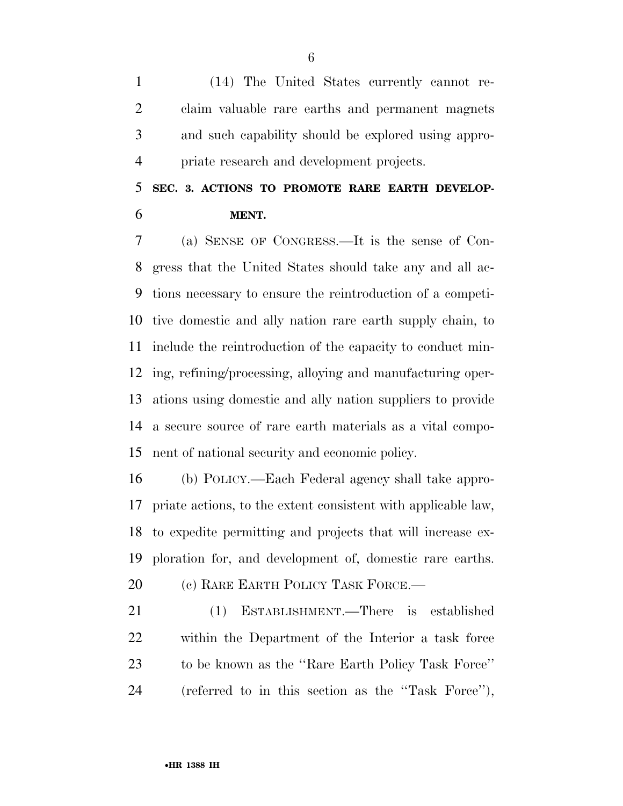(14) The United States currently cannot re- claim valuable rare earths and permanent magnets and such capability should be explored using appro-priate research and development projects.

## **SEC. 3. ACTIONS TO PROMOTE RARE EARTH DEVELOP-MENT.**

 (a) SENSE OF CONGRESS.—It is the sense of Con- gress that the United States should take any and all ac- tions necessary to ensure the reintroduction of a competi- tive domestic and ally nation rare earth supply chain, to include the reintroduction of the capacity to conduct min- ing, refining/processing, alloying and manufacturing oper- ations using domestic and ally nation suppliers to provide a secure source of rare earth materials as a vital compo-nent of national security and economic policy.

 (b) POLICY.—Each Federal agency shall take appro- priate actions, to the extent consistent with applicable law, to expedite permitting and projects that will increase ex- ploration for, and development of, domestic rare earths. 20 (c) RARE EARTH POLICY TASK FORCE.—

 (1) ESTABLISHMENT.—There is established within the Department of the Interior a task force to be known as the ''Rare Earth Policy Task Force'' (referred to in this section as the ''Task Force''),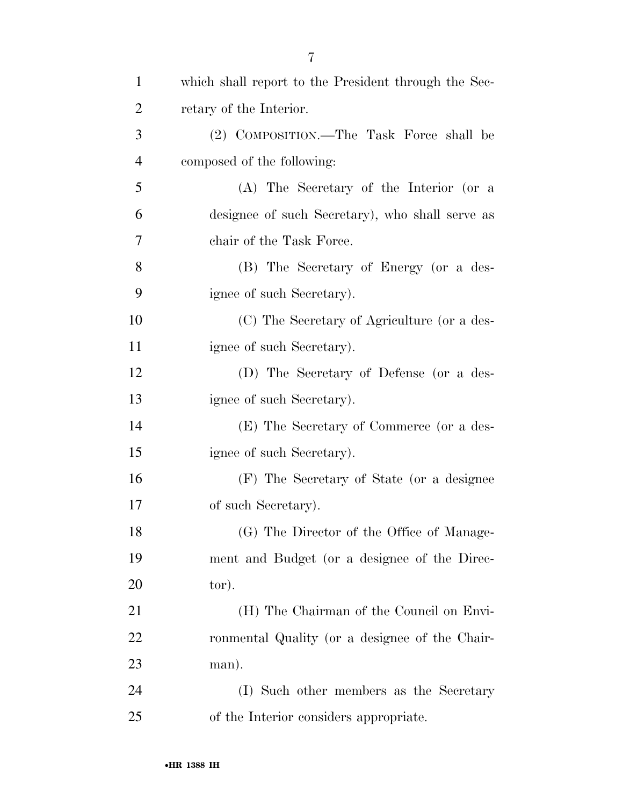| $\mathbf{1}$   | which shall report to the President through the Sec- |
|----------------|------------------------------------------------------|
| $\overline{2}$ | retary of the Interior.                              |
| 3              | (2) COMPOSITION.—The Task Force shall be             |
| $\overline{4}$ | composed of the following:                           |
| 5              | (A) The Secretary of the Interior (or a              |
| 6              | designee of such Secretary), who shall serve as      |
| 7              | chair of the Task Force.                             |
| 8              | (B) The Secretary of Energy (or a des-               |
| 9              | ignee of such Secretary).                            |
| 10             | (C) The Secretary of Agriculture (or a des-          |
| 11             | ignee of such Secretary).                            |
| 12             | (D) The Secretary of Defense (or a des-              |
| 13             | ignee of such Secretary).                            |
| 14             | (E) The Secretary of Commerce (or a des-             |
| 15             | ignee of such Secretary).                            |
| 16             | (F) The Secretary of State (or a designee            |
| 17             | of such Secretary).                                  |
| 18             | (G) The Director of the Office of Manage-            |
| 19             | ment and Budget (or a designee of the Direc-         |
| 20             | tor).                                                |
| 21             | (H) The Chairman of the Council on Envi-             |
| 22             | ronmental Quality (or a designee of the Chair-       |
| 23             | man).                                                |
| 24             | (I) Such other members as the Secretary              |
| 25             | of the Interior considers appropriate.               |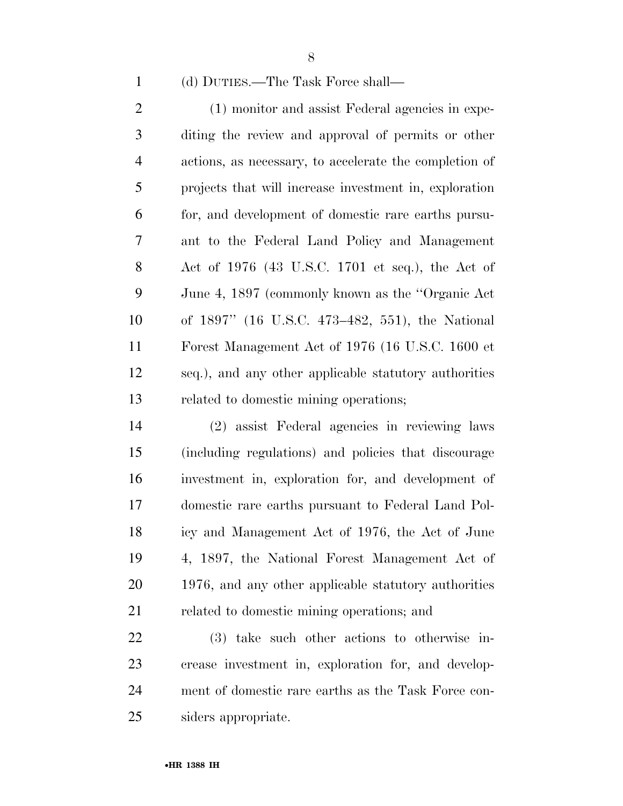(d) DUTIES.—The Task Force shall—

2 (1) monitor and assist Federal agencies in expe- diting the review and approval of permits or other actions, as necessary, to accelerate the completion of projects that will increase investment in, exploration for, and development of domestic rare earths pursu- ant to the Federal Land Policy and Management Act of 1976 (43 U.S.C. 1701 et seq.), the Act of June 4, 1897 (commonly known as the ''Organic Act of 1897'' (16 U.S.C. 473–482, 551), the National Forest Management Act of 1976 (16 U.S.C. 1600 et seq.), and any other applicable statutory authorities related to domestic mining operations;

 (2) assist Federal agencies in reviewing laws (including regulations) and policies that discourage investment in, exploration for, and development of domestic rare earths pursuant to Federal Land Pol- icy and Management Act of 1976, the Act of June 4, 1897, the National Forest Management Act of 1976, and any other applicable statutory authorities related to domestic mining operations; and

 (3) take such other actions to otherwise in- crease investment in, exploration for, and develop- ment of domestic rare earths as the Task Force con-siders appropriate.

•**HR 1388 IH**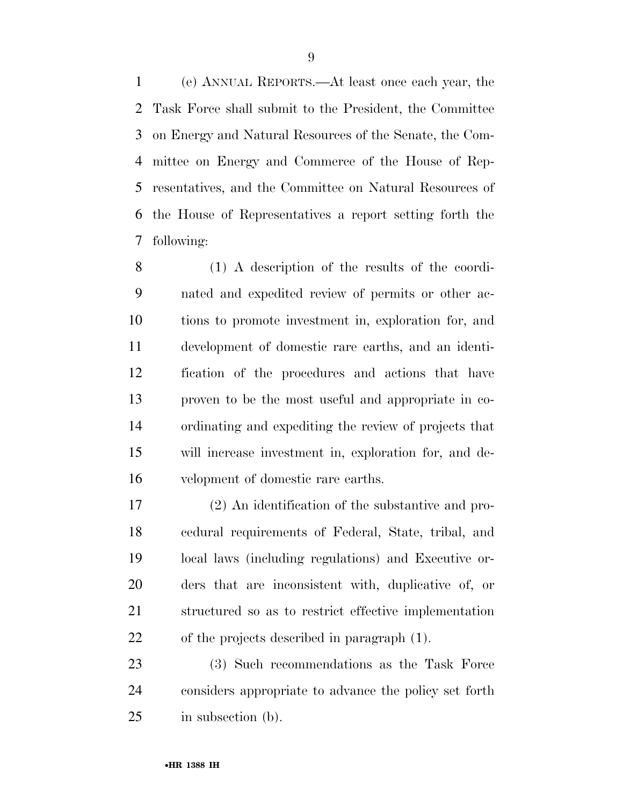(e) ANNUAL REPORTS.—At least once each year, the Task Force shall submit to the President, the Committee on Energy and Natural Resources of the Senate, the Com- mittee on Energy and Commerce of the House of Rep- resentatives, and the Committee on Natural Resources of the House of Representatives a report setting forth the following:

 (1) A description of the results of the coordi- nated and expedited review of permits or other ac- tions to promote investment in, exploration for, and development of domestic rare earths, and an identi- fication of the procedures and actions that have proven to be the most useful and appropriate in co- ordinating and expediting the review of projects that will increase investment in, exploration for, and de-velopment of domestic rare earths.

 (2) An identification of the substantive and pro- cedural requirements of Federal, State, tribal, and local laws (including regulations) and Executive or- ders that are inconsistent with, duplicative of, or structured so as to restrict effective implementation of the projects described in paragraph (1).

 (3) Such recommendations as the Task Force considers appropriate to advance the policy set forth in subsection (b).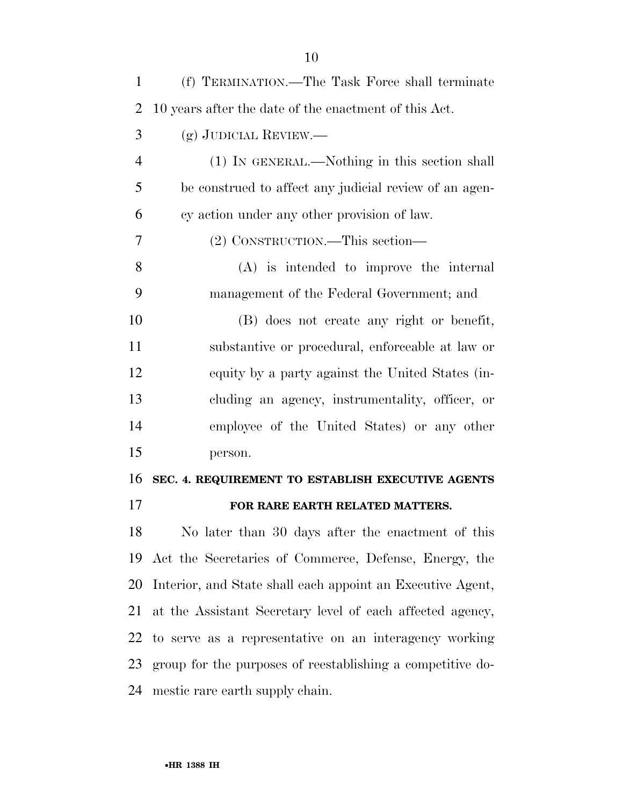| 1              | (f) TERMINATION.—The Task Force shall terminate            |
|----------------|------------------------------------------------------------|
| $\overline{2}$ | 10 years after the date of the enactment of this Act.      |
| 3              | (g) JUDICIAL REVIEW.—                                      |
| $\overline{4}$ | (1) IN GENERAL.—Nothing in this section shall              |
| 5              | be construed to affect any judicial review of an agen-     |
| 6              | cy action under any other provision of law.                |
| 7              | (2) CONSTRUCTION.—This section—                            |
| 8              | $(A)$ is intended to improve the internal                  |
| 9              | management of the Federal Government; and                  |
| 10             | (B) does not create any right or benefit,                  |
| 11             | substantive or procedural, enforceable at law or           |
| 12             | equity by a party against the United States (in-           |
| 13             | cluding an agency, instrumentality, officer, or            |
| 14             | employee of the United States) or any other                |
| 15             | person.                                                    |
| 16             | SEC. 4. REQUIREMENT TO ESTABLISH EXECUTIVE AGENTS          |
| 17             | FOR RARE EARTH RELATED MATTERS.                            |
| 18             | No later than 30 days after the enactment of this          |
| 19             | Act the Secretaries of Commerce, Defense, Energy, the      |
| 20             | Interior, and State shall each appoint an Executive Agent, |
| 21             | at the Assistant Secretary level of each affected agency,  |
| 22             | to serve as a representative on an interagency working     |
| 23             | group for the purposes of reestablishing a competitive do- |
| 24             | mestic rare earth supply chain.                            |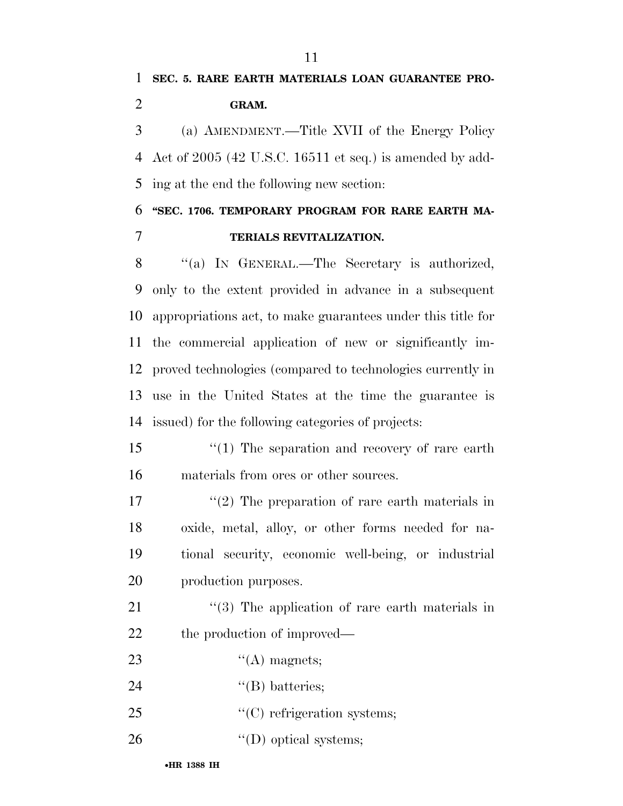**SEC. 5. RARE EARTH MATERIALS LOAN GUARANTEE PRO-GRAM.** 

 (a) AMENDMENT.—Title XVII of the Energy Policy Act of 2005 (42 U.S.C. 16511 et seq.) is amended by add-ing at the end the following new section:

### **''SEC. 1706. TEMPORARY PROGRAM FOR RARE EARTH MA-TERIALS REVITALIZATION.**

8 "(a) IN GENERAL.—The Secretary is authorized, only to the extent provided in advance in a subsequent appropriations act, to make guarantees under this title for the commercial application of new or significantly im- proved technologies (compared to technologies currently in use in the United States at the time the guarantee is issued) for the following categories of projects:

15 "(1) The separation and recovery of rare earth materials from ores or other sources.

17 ''(2) The preparation of rare earth materials in oxide, metal, alloy, or other forms needed for na- tional security, economic well-being, or industrial production purposes.

21 ''(3) The application of rare earth materials in 22 the production of improved—

- 23  $\qquad \qquad \text{``(A) magnets;}$
- 24 ''(B) batteries;
- 25  $\cdot$  (C) refrigeration systems;
- 26  $"({\rm D})$  optical systems;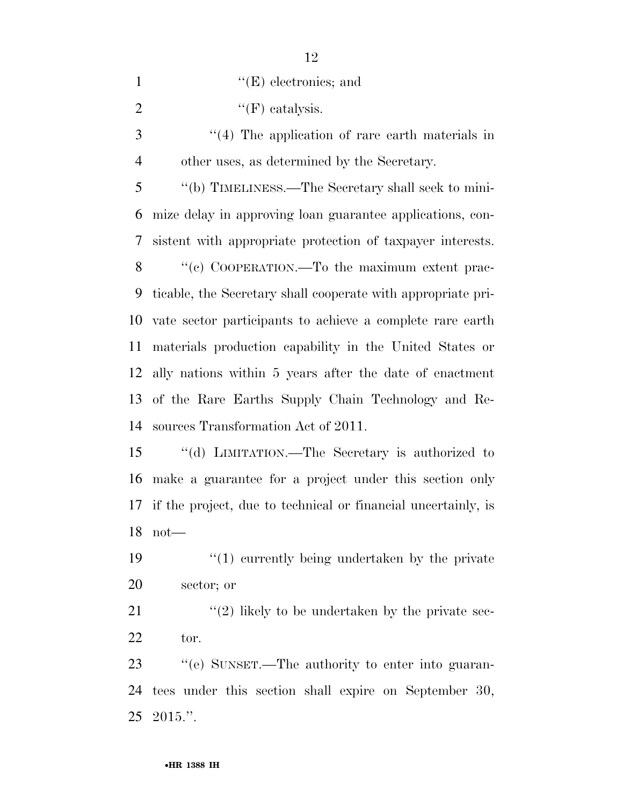1  $\text{``(E)}$  electronics; and

2  $"({\rm F})$  catalysis.

3 (4) The application of rare earth materials in other uses, as determined by the Secretary.

 ''(b) TIMELINESS.—The Secretary shall seek to mini- mize delay in approving loan guarantee applications, con- sistent with appropriate protection of taxpayer interests. 8 "(c) COOPERATION.—To the maximum extent prac- ticable, the Secretary shall cooperate with appropriate pri- vate sector participants to achieve a complete rare earth materials production capability in the United States or ally nations within 5 years after the date of enactment of the Rare Earths Supply Chain Technology and Re-sources Transformation Act of 2011.

 ''(d) LIMITATION.—The Secretary is authorized to make a guarantee for a project under this section only if the project, due to technical or financial uncertainly, is not—

19  $\frac{1}{2}$  (1) currently being undertaken by the private sector; or

21  $\langle (2)$  likely to be undertaken by the private sec-tor.

 ''(e) SUNSET.—The authority to enter into guaran- tees under this section shall expire on September 30, 2015.''.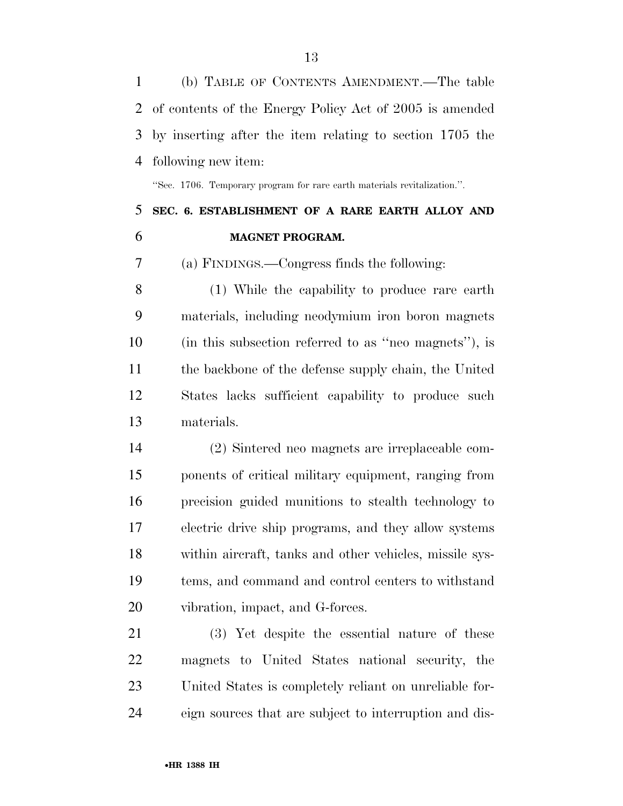(b) TABLE OF CONTENTS AMENDMENT.—The table of contents of the Energy Policy Act of 2005 is amended by inserting after the item relating to section 1705 the following new item:

''Sec. 1706. Temporary program for rare earth materials revitalization.''.

### **SEC. 6. ESTABLISHMENT OF A RARE EARTH ALLOY AND MAGNET PROGRAM.**

(a) FINDINGS.—Congress finds the following:

 (1) While the capability to produce rare earth materials, including neodymium iron boron magnets (in this subsection referred to as ''neo magnets''), is the backbone of the defense supply chain, the United States lacks sufficient capability to produce such materials.

 (2) Sintered neo magnets are irreplaceable com- ponents of critical military equipment, ranging from precision guided munitions to stealth technology to electric drive ship programs, and they allow systems within aircraft, tanks and other vehicles, missile sys- tems, and command and control centers to withstand vibration, impact, and G-forces.

 (3) Yet despite the essential nature of these magnets to United States national security, the United States is completely reliant on unreliable for-eign sources that are subject to interruption and dis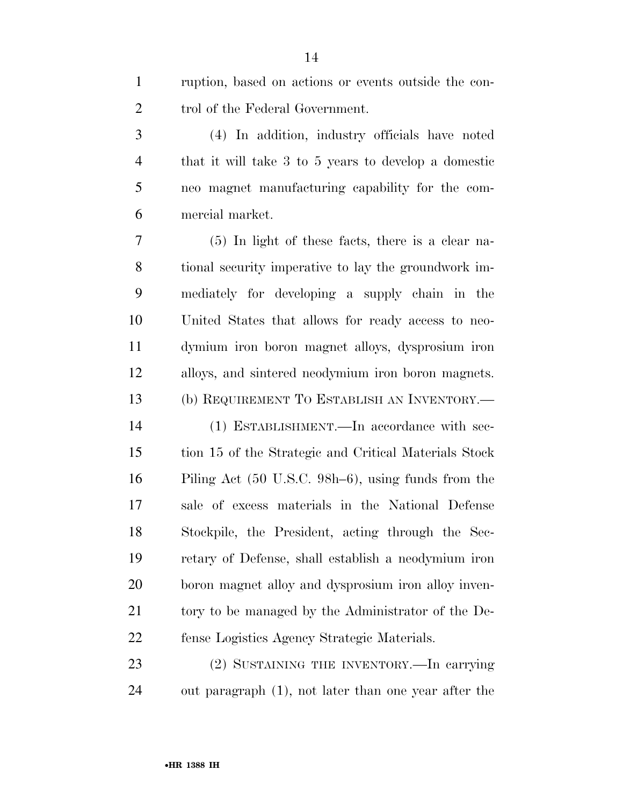ruption, based on actions or events outside the con-2 trol of the Federal Government.

 (4) In addition, industry officials have noted that it will take 3 to 5 years to develop a domestic neo magnet manufacturing capability for the com-mercial market.

 (5) In light of these facts, there is a clear na- tional security imperative to lay the groundwork im- mediately for developing a supply chain in the United States that allows for ready access to neo- dymium iron boron magnet alloys, dysprosium iron alloys, and sintered neodymium iron boron magnets. (b) REQUIREMENT TO ESTABLISH AN INVENTORY.—

 (1) ESTABLISHMENT.—In accordance with sec- tion 15 of the Strategic and Critical Materials Stock Piling Act (50 U.S.C. 98h–6), using funds from the sale of excess materials in the National Defense Stockpile, the President, acting through the Sec- retary of Defense, shall establish a neodymium iron boron magnet alloy and dysprosium iron alloy inven- tory to be managed by the Administrator of the De-fense Logistics Agency Strategic Materials.

 (2) SUSTAINING THE INVENTORY.—In carrying out paragraph (1), not later than one year after the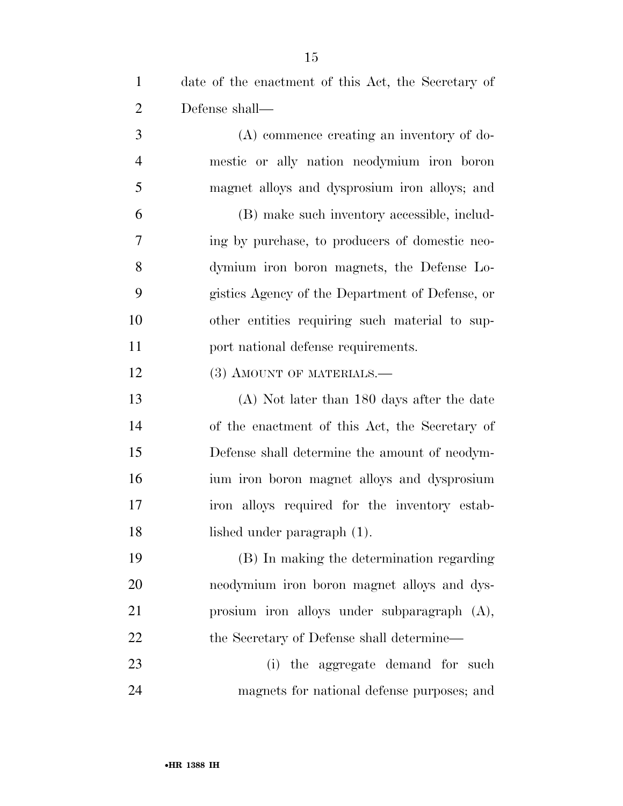date of the enactment of this Act, the Secretary of Defense shall— (A) commence creating an inventory of do- mestic or ally nation neodymium iron boron magnet alloys and dysprosium iron alloys; and (B) make such inventory accessible, includ- ing by purchase, to producers of domestic neo- dymium iron boron magnets, the Defense Lo- gistics Agency of the Department of Defense, or other entities requiring such material to sup-11 port national defense requirements. 12 (3) AMOUNT OF MATERIALS.— (A) Not later than 180 days after the date of the enactment of this Act, the Secretary of Defense shall determine the amount of neodym- ium iron boron magnet alloys and dysprosium iron alloys required for the inventory estab- lished under paragraph (1). (B) In making the determination regarding neodymium iron boron magnet alloys and dys- prosium iron alloys under subparagraph (A), 22 the Secretary of Defense shall determine— 23 (i) the aggregate demand for such magnets for national defense purposes; and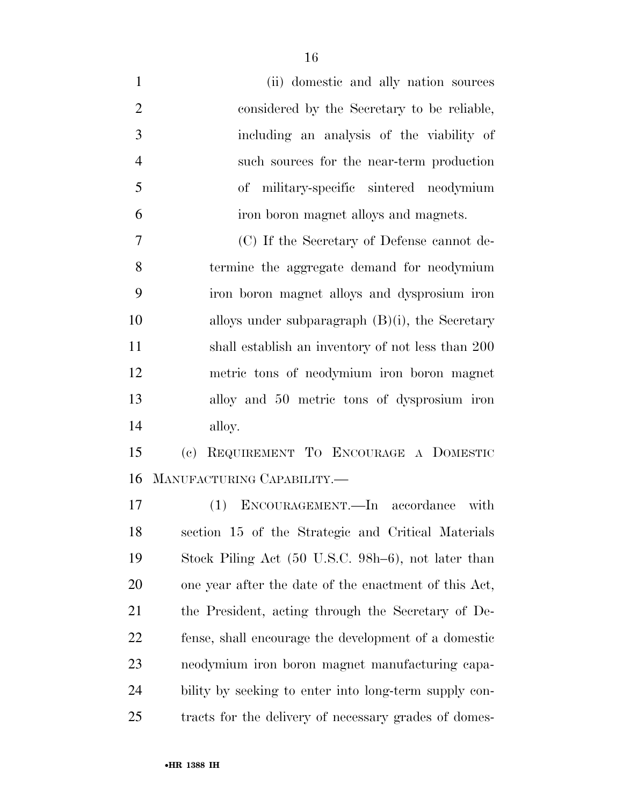(ii) domestic and ally nation sources considered by the Secretary to be reliable, including an analysis of the viability of such sources for the near-term production of military-specific sintered neodymium iron boron magnet alloys and magnets. (C) If the Secretary of Defense cannot de- termine the aggregate demand for neodymium iron boron magnet alloys and dysprosium iron alloys under subparagraph (B)(i), the Secretary shall establish an inventory of not less than 200 metric tons of neodymium iron boron magnet alloy and 50 metric tons of dysprosium iron alloy. (c) REQUIREMENT TO ENCOURAGE A DOMESTIC MANUFACTURING CAPABILITY.—

 (1) ENCOURAGEMENT.—In accordance with section 15 of the Strategic and Critical Materials Stock Piling Act (50 U.S.C. 98h–6), not later than one year after the date of the enactment of this Act, the President, acting through the Secretary of De- fense, shall encourage the development of a domestic neodymium iron boron magnet manufacturing capa- bility by seeking to enter into long-term supply con-tracts for the delivery of necessary grades of domes-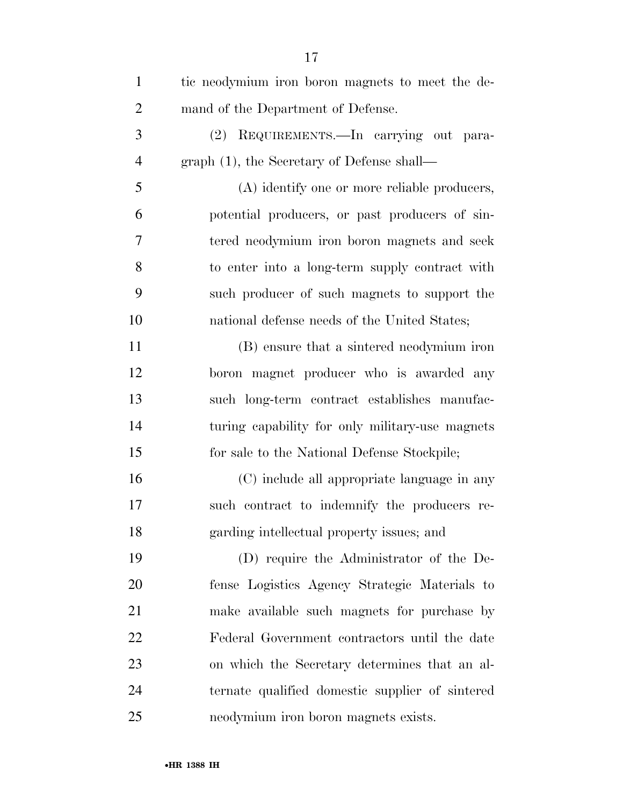| $\mathbf{1}$   | tic neodymium iron boron magnets to meet the de- |
|----------------|--------------------------------------------------|
| $\overline{2}$ | mand of the Department of Defense.               |
| 3              | (2) REQUIREMENTS.—In carrying out para-          |
| $\overline{4}$ | $graph(1)$ , the Secretary of Defense shall—     |
| 5              | (A) identify one or more reliable producers,     |
| 6              | potential producers, or past producers of sin-   |
| 7              | tered neodymium iron boron magnets and seek      |
| 8              | to enter into a long-term supply contract with   |
| 9              | such producer of such magnets to support the     |
| 10             | national defense needs of the United States;     |
| 11             | (B) ensure that a sintered neodymium iron        |
| 12             | boron magnet producer who is awarded any         |
| 13             | such long-term contract establishes manufac-     |
| 14             | turing capability for only military-use magnets  |
| 15             | for sale to the National Defense Stockpile;      |
| 16             | (C) include all appropriate language in any      |
| 17             | such contract to indemnify the producers re-     |
| 18             | garding intellectual property issues; and        |
| 19             | (D) require the Administrator of the De-         |
| 20             | fense Logistics Agency Strategic Materials to    |
| 21             | make available such magnets for purchase by      |
| 22             | Federal Government contractors until the date    |
| 23             | on which the Secretary determines that an al-    |
| 24             | ternate qualified domestic supplier of sintered  |
| 25             | neodymium iron boron magnets exists.             |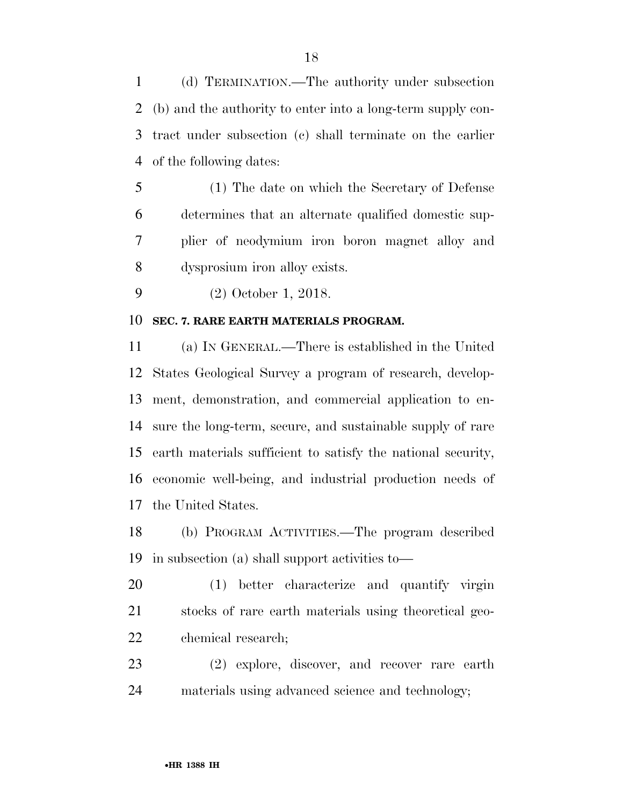(d) TERMINATION.—The authority under subsection (b) and the authority to enter into a long-term supply con- tract under subsection (c) shall terminate on the earlier of the following dates:

 (1) The date on which the Secretary of Defense determines that an alternate qualified domestic sup- plier of neodymium iron boron magnet alloy and dysprosium iron alloy exists.

(2) October 1, 2018.

#### **SEC. 7. RARE EARTH MATERIALS PROGRAM.**

 (a) IN GENERAL.—There is established in the United States Geological Survey a program of research, develop- ment, demonstration, and commercial application to en- sure the long-term, secure, and sustainable supply of rare earth materials sufficient to satisfy the national security, economic well-being, and industrial production needs of the United States.

 (b) PROGRAM ACTIVITIES.—The program described in subsection (a) shall support activities to—

 (1) better characterize and quantify virgin stocks of rare earth materials using theoretical geo-chemical research;

 (2) explore, discover, and recover rare earth materials using advanced science and technology;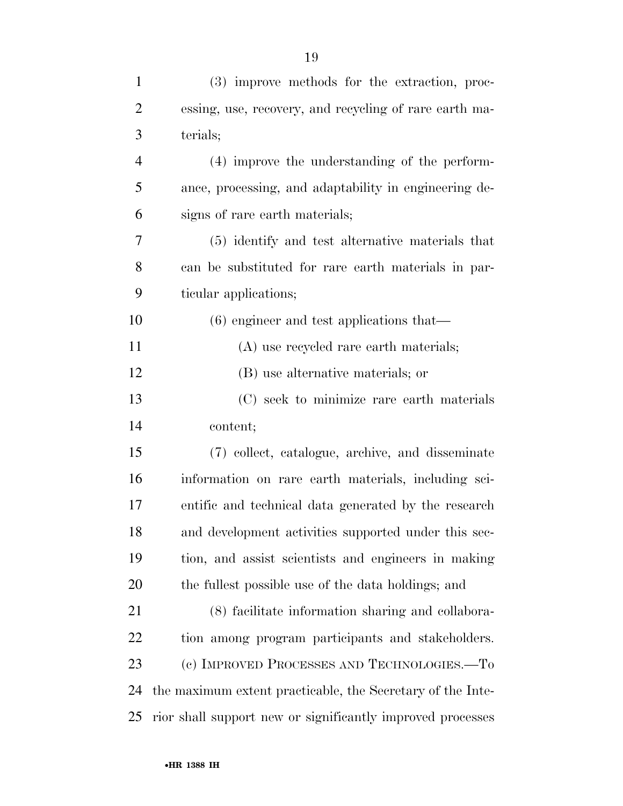| $\mathbf{1}$   | (3) improve methods for the extraction, proc-              |
|----------------|------------------------------------------------------------|
| $\overline{2}$ | essing, use, recovery, and recycling of rare earth ma-     |
| 3              | terials;                                                   |
| $\overline{4}$ | (4) improve the understanding of the perform-              |
| 5              | ance, processing, and adaptability in engineering de-      |
| 6              | signs of rare earth materials;                             |
| 7              | (5) identify and test alternative materials that           |
| 8              | can be substituted for rare earth materials in par-        |
| 9              | ticular applications;                                      |
| 10             | $(6)$ engineer and test applications that—                 |
| 11             | (A) use recycled rare earth materials;                     |
| 12             | (B) use alternative materials; or                          |
| 13             | (C) seek to minimize rare earth materials                  |
| 14             | content;                                                   |
| 15             | (7) collect, catalogue, archive, and disseminate           |
| 16             | information on rare earth materials, including sci-        |
| 17             | entific and technical data generated by the research       |
| 18             | and development activities supported under this sec-       |
| 19             | tion, and assist scientists and engineers in making        |
| 20             | the fullest possible use of the data holdings; and         |
| 21             | (8) facilitate information sharing and collabora-          |
| 22             | tion among program participants and stakeholders.          |
| 23             | (c) IMPROVED PROCESSES AND TECHNOLOGIES.-To                |
| 24             | the maximum extent practicable, the Secretary of the Inte- |
| 25             | rior shall support new or significantly improved processes |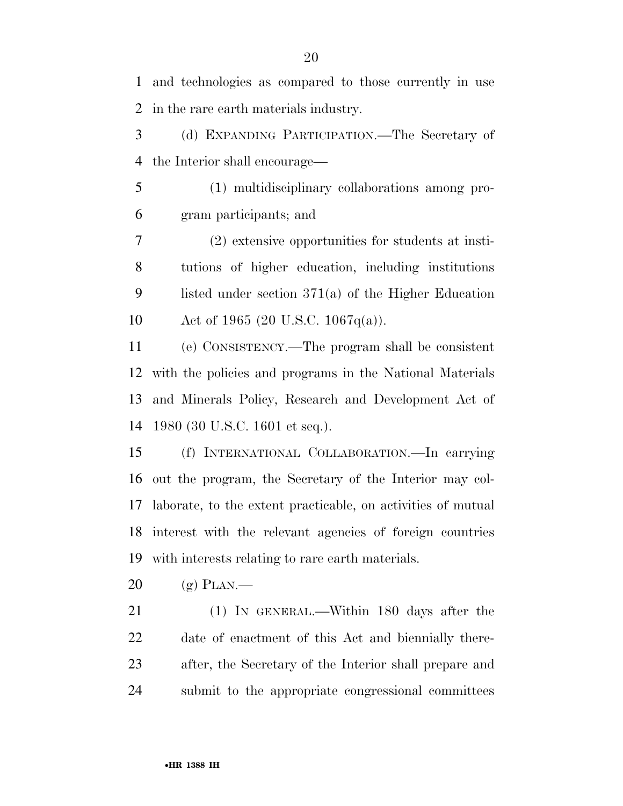and technologies as compared to those currently in use in the rare earth materials industry. (d) EXPANDING PARTICIPATION.—The Secretary of the Interior shall encourage— (1) multidisciplinary collaborations among pro- gram participants; and (2) extensive opportunities for students at insti- tutions of higher education, including institutions listed under section 371(a) of the Higher Education Act of 1965 (20 U.S.C. 1067q(a)). (e) CONSISTENCY.—The program shall be consistent with the policies and programs in the National Materials and Minerals Policy, Research and Development Act of 1980 (30 U.S.C. 1601 et seq.). (f) INTERNATIONAL COLLABORATION.—In carrying out the program, the Secretary of the Interior may col- laborate, to the extent practicable, on activities of mutual interest with the relevant agencies of foreign countries with interests relating to rare earth materials. (g) PLAN.— (1) IN GENERAL.—Within 180 days after the date of enactment of this Act and biennially there- after, the Secretary of the Interior shall prepare and submit to the appropriate congressional committees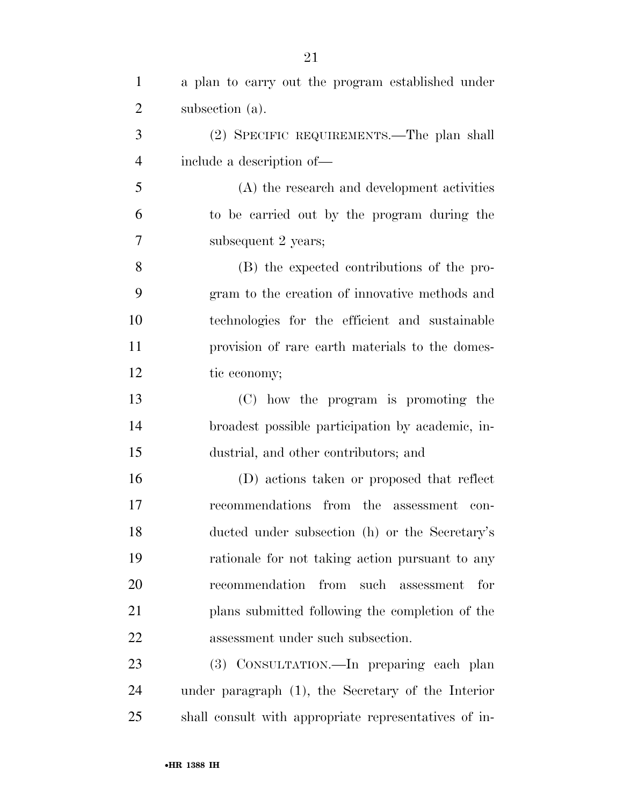| $\mathbf{1}$   | a plan to carry out the program established under     |
|----------------|-------------------------------------------------------|
| $\overline{2}$ | subsection (a).                                       |
| 3              | (2) SPECIFIC REQUIREMENTS.—The plan shall             |
| $\overline{4}$ | include a description of—                             |
| 5              | (A) the research and development activities           |
| 6              | to be carried out by the program during the           |
| 7              | subsequent 2 years;                                   |
| 8              | (B) the expected contributions of the pro-            |
| 9              | gram to the creation of innovative methods and        |
| 10             | technologies for the efficient and sustainable        |
| 11             | provision of rare earth materials to the domes-       |
| 12             | tic economy;                                          |
| 13             | (C) how the program is promoting the                  |
| 14             | broadest possible participation by academic, in-      |
| 15             | dustrial, and other contributors; and                 |
| 16             | (D) actions taken or proposed that reflect            |
| 17             | recommendations from the assessment<br>con-           |
| 18             | ducted under subsection (h) or the Secretary's        |
| 19             | rationale for not taking action pursuant to any       |
| 20             | recommendation from such assessment<br>for            |
| 21             | plans submitted following the completion of the       |
| 22             | assessment under such subsection.                     |
| 23             | (3) CONSULTATION.—In preparing each plan              |
| 24             | under paragraph $(1)$ , the Secretary of the Interior |
| 25             | shall consult with appropriate representatives of in- |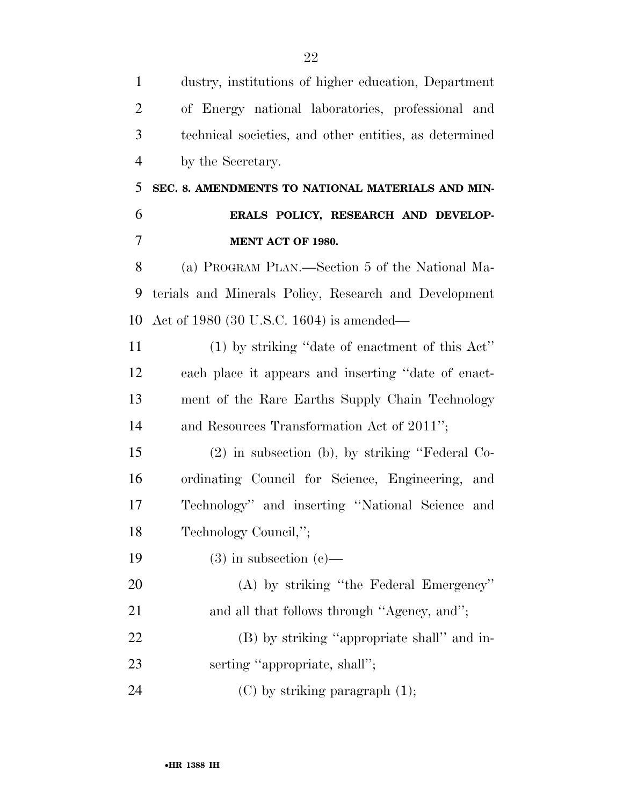| $\mathbf{1}$   | dustry, institutions of higher education, Department   |
|----------------|--------------------------------------------------------|
| $\overline{2}$ | of Energy national laboratories, professional and      |
| 3              | technical societies, and other entities, as determined |
| $\overline{4}$ | by the Secretary.                                      |
| 5              | SEC. 8. AMENDMENTS TO NATIONAL MATERIALS AND MIN-      |
| 6              | ERALS POLICY, RESEARCH AND DEVELOP-                    |
| 7              | MENT ACT OF 1980.                                      |
| 8              | (a) PROGRAM PLAN.—Section 5 of the National Ma-        |
| 9              | terials and Minerals Policy, Research and Development  |
| 10             | Act of 1980 (30 U.S.C. 1604) is amended—               |
| 11             | $(1)$ by striking "date of enactment of this Act"      |
| 12             | each place it appears and inserting "date of enact-    |
| 13             | ment of the Rare Earths Supply Chain Technology        |
| 14             | and Resources Transformation Act of 2011";             |
| 15             | $(2)$ in subsection (b), by striking "Federal Co-      |
| 16             | ordinating Council for Science, Engineering, and       |
| 17             | Technology" and inserting "National Science and        |
| 18             | Technology Council,";                                  |
| 19             | $(3)$ in subsection $(e)$ —                            |
| 20             | (A) by striking "the Federal Emergency"                |
| 21             | and all that follows through "Agency, and";            |
| 22             | (B) by striking "appropriate shall" and in-            |
| 23             | serting "appropriate, shall";                          |
| 24             | $(C)$ by striking paragraph $(1)$ ;                    |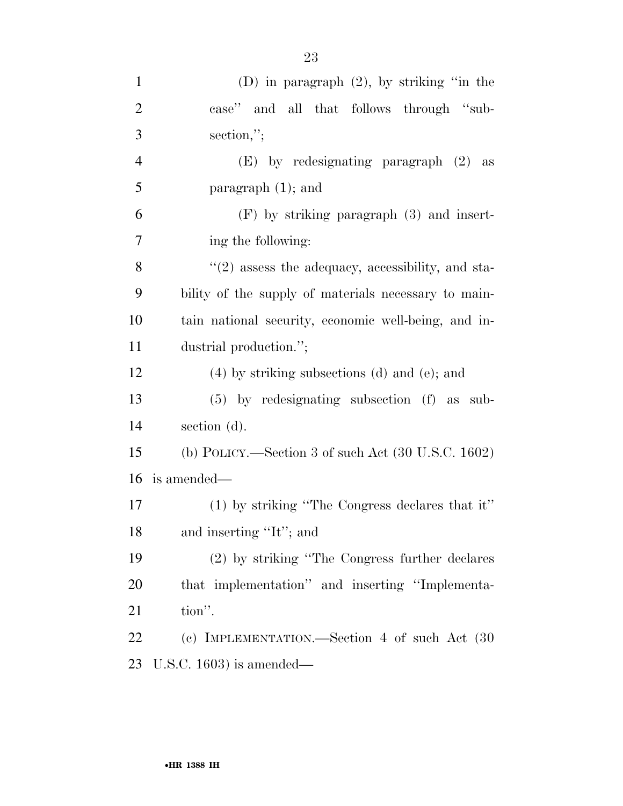| $\mathbf{1}$   | (D) in paragraph $(2)$ , by striking "in the                  |
|----------------|---------------------------------------------------------------|
| $\overline{2}$ | case" and all that follows through "sub-                      |
| 3              | section,";                                                    |
| $\overline{4}$ | (E) by redesignating paragraph (2) as                         |
| 5              | paragraph $(1)$ ; and                                         |
| 6              | $(F)$ by striking paragraph $(3)$ and insert-                 |
| $\overline{7}$ | ing the following:                                            |
| 8              | $\lq(2)$ assess the adequacy, accessibility, and sta-         |
| 9              | bility of the supply of materials necessary to main-          |
| 10             | tain national security, economic well-being, and in-          |
| 11             | dustrial production.";                                        |
| 12             | $(4)$ by striking subsections $(d)$ and $(e)$ ; and           |
| 13             | $(5)$ by redesignating subsection $(f)$ as sub-               |
| 14             | section (d).                                                  |
| 15             | (b) POLICY.—Section 3 of such Act $(30 \text{ U.S.C. } 1602)$ |
| 16             | is amended—                                                   |
| 17             | $(1)$ by striking "The Congress declares that it"             |
| 18             | and inserting "It"; and                                       |
| 19             | (2) by striking "The Congress further declares"               |
| 20             | that implementation" and inserting "Implementa-               |
| 21             | tion".                                                        |
| 22             | (c) IMPLEMENTATION.—Section 4 of such Act (30)                |
| 23             | U.S.C. $1603$ ) is amended—                                   |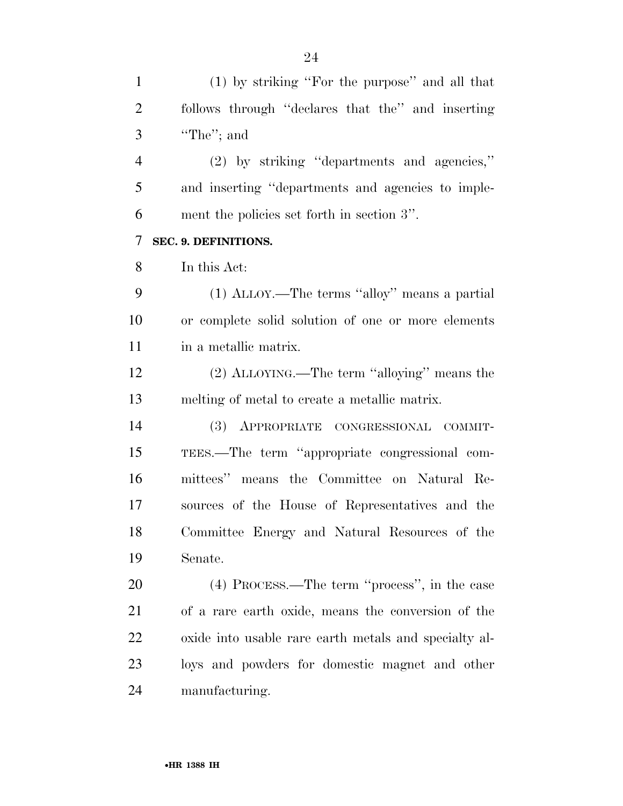(1) by striking ''For the purpose'' and all that follows through ''declares that the'' and inserting ''The''; and (2) by striking ''departments and agencies,'' and inserting ''departments and agencies to imple- ment the policies set forth in section 3''. **SEC. 9. DEFINITIONS.**  In this Act: (1) ALLOY.—The terms ''alloy'' means a partial or complete solid solution of one or more elements 11 in a metallic matrix. (2) ALLOYING.—The term ''alloying'' means the melting of metal to create a metallic matrix. (3) APPROPRIATE CONGRESSIONAL COMMIT- TEES.—The term ''appropriate congressional com- mittees'' means the Committee on Natural Re- sources of the House of Representatives and the Committee Energy and Natural Resources of the Senate. (4) PROCESS.—The term ''process'', in the case of a rare earth oxide, means the conversion of the oxide into usable rare earth metals and specialty al- loys and powders for domestic magnet and other manufacturing.